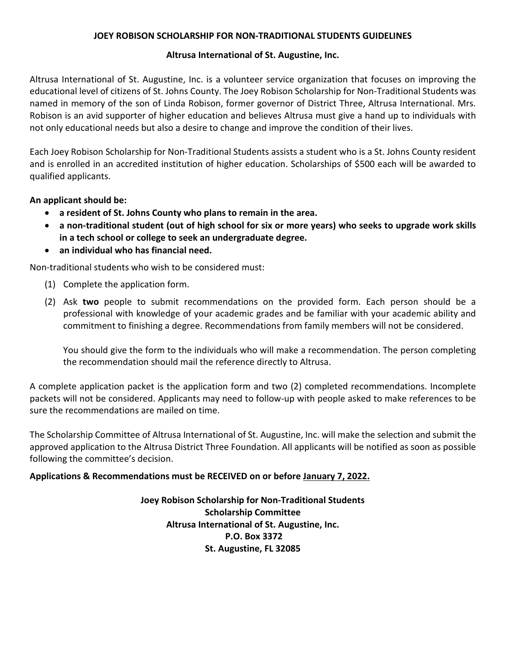#### **JOEY ROBISON SCHOLARSHIP FOR NON-TRADITIONAL STUDENTS GUIDELINES**

#### **Altrusa International of St. Augustine, Inc.**

Altrusa International of St. Augustine, Inc. is a volunteer service organization that focuses on improving the educational level of citizens of St. Johns County. The Joey Robison Scholarship for Non-Traditional Students was named in memory of the son of Linda Robison, former governor of District Three, Altrusa International. Mrs. Robison is an avid supporter of higher education and believes Altrusa must give a hand up to individuals with not only educational needs but also a desire to change and improve the condition of their lives.

Each Joey Robison Scholarship for Non-Traditional Students assists a student who is a St. Johns County resident and is enrolled in an accredited institution of higher education. Scholarships of \$500 each will be awarded to qualified applicants.

**An applicant should be:**

- **a resident of St. Johns County who plans to remain in the area.**
- **a non-traditional student (out of high school for six or more years) who seeks to upgrade work skills in a tech school or college to seek an undergraduate degree.**
- **an individual who has financial need.**

Non-traditional students who wish to be considered must:

- (1) Complete the application form.
- (2) Ask **two** people to submit recommendations on the provided form. Each person should be a professional with knowledge of your academic grades and be familiar with your academic ability and commitment to finishing a degree. Recommendations from family members will not be considered.

You should give the form to the individuals who will make a recommendation. The person completing the recommendation should mail the reference directly to Altrusa.

A complete application packet is the application form and two (2) completed recommendations. Incomplete packets will not be considered. Applicants may need to follow-up with people asked to make references to be sure the recommendations are mailed on time.

The Scholarship Committee of Altrusa International of St. Augustine, Inc. will make the selection and submit the approved application to the Altrusa District Three Foundation. All applicants will be notified as soon as possible following the committee's decision.

## **Applications & Recommendations must be RECEIVED on or before January 7, 2022.**

**Joey Robison Scholarship for Non-Traditional Students Scholarship Committee Altrusa International of St. Augustine, Inc. P.O. Box 3372 St. Augustine, FL 32085**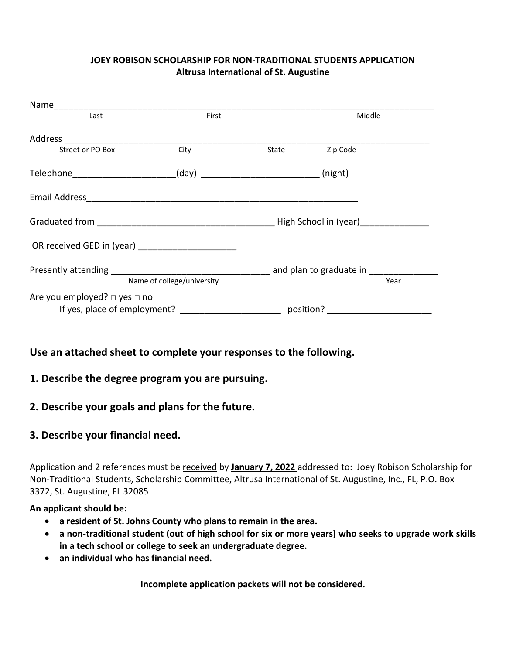## **JOEY ROBISON SCHOLARSHIP FOR NON-TRADITIONAL STUDENTS APPLICATION Altrusa International of St. Augustine**

| Last                                                                         | First |       | Middle   |  |  |
|------------------------------------------------------------------------------|-------|-------|----------|--|--|
| Address                                                                      |       |       |          |  |  |
| Street or PO Box                                                             | City  | State | Zip Code |  |  |
| Telephone__________________________                                          |       |       |          |  |  |
|                                                                              |       |       |          |  |  |
| Graduated from <b>Example 2018</b> and Capital Control High School in (year) |       |       |          |  |  |
| OR received GED in (year) ______________________                             |       |       |          |  |  |
| Name of college/university                                                   |       |       | Year     |  |  |
| Are you employed? $\square$ yes $\square$ no                                 |       |       |          |  |  |

# **Use an attached sheet to complete your responses to the following.**

## **1. Describe the degree program you are pursuing.**

## **2. Describe your goals and plans for the future.**

## **3. Describe your financial need.**

Application and 2 references must be received by **January 7, 2022** addressed to: Joey Robison Scholarship for Non-Traditional Students, Scholarship Committee, Altrusa International of St. Augustine, Inc., FL, P.O. Box 3372, St. Augustine, FL 32085

## **An applicant should be:**

- **a resident of St. Johns County who plans to remain in the area.**
- **a non-traditional student (out of high school for six or more years) who seeks to upgrade work skills in a tech school or college to seek an undergraduate degree.**
- **an individual who has financial need.**

**Incomplete application packets will not be considered.**